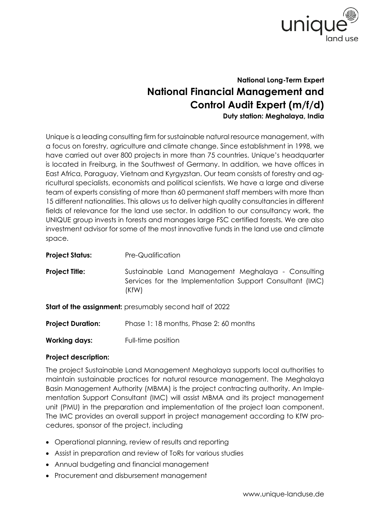

## **National Long-Term Expert National Financial Management and Control Audit Expert (m/f/d) Duty station: Meghalaya, India**

Unique is a leading consulting firm for sustainable natural resource management, with a focus on forestry, agriculture and climate change. Since establishment in 1998, we have carried out over 800 projects in more than 75 countries. Unique's headquarter is located in Freiburg, in the Southwest of Germany. In addition, we have offices in East Africa, Paraguay, Vietnam and Kyrgyzstan. Our team consists of forestry and agricultural specialists, economists and political scientists. We have a large and diverse team of experts consisting of more than 60 permanent staff members with more than 15 different nationalities. This allows us to deliver high quality consultancies in different fields of relevance for the land use sector. In addition to our consultancy work, the UNIQUE group invests in forests and manages large FSC certified forests. We are also investment advisor for some of the most innovative funds in the land use and climate space.

| <b>Project Status:</b>                                         | Pre-Qualification                                                                                                       |
|----------------------------------------------------------------|-------------------------------------------------------------------------------------------------------------------------|
| <b>Project Title:</b>                                          | Sustainable Land Management Meghalaya - Consulting<br>Services for the Implementation Support Consultant (IMC)<br>(KfW) |
| <b>Start of the assignment:</b> presumably second half of 2022 |                                                                                                                         |
| <b>Project Duration:</b>                                       | Phase 1:18 months, Phase 2:60 months                                                                                    |

**Working days:** Full-time position

## **Project description:**

The project Sustainable Land Management Meghalaya supports local authorities to maintain sustainable practices for natural resource management. The Meghalaya Basin Management Authority (MBMA) is the project contracting authority. An Implementation Support Consultant (IMC) will assist MBMA and its project management unit (PMU) in the preparation and implementation of the project loan component. The IMC provides an overall support in project management according to KfW procedures, sponsor of the project, including

- Operational planning, review of results and reporting
- Assist in preparation and review of ToRs for various studies
- Annual budgeting and financial management
- Procurement and disbursement management